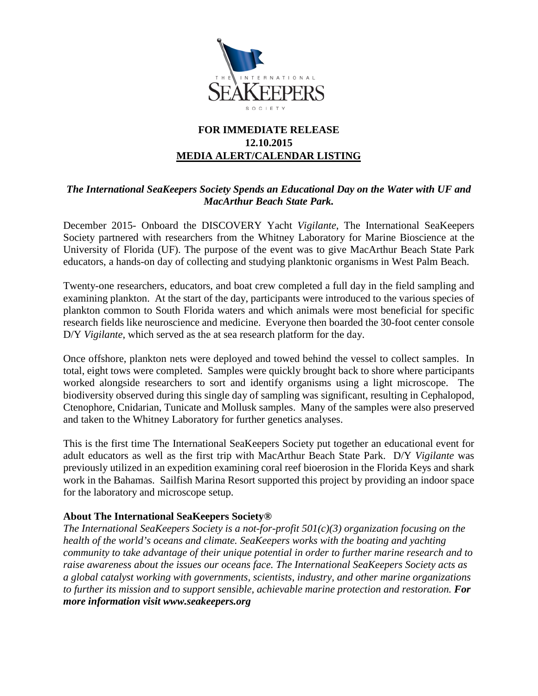

## **FOR IMMEDIATE RELEASE 12.10.2015 MEDIA ALERT/CALENDAR LISTING**

## *The International SeaKeepers Society Spends an Educational Day on the Water with UF and MacArthur Beach State Park.*

December 2015- Onboard the DISCOVERY Yacht *Vigilante*, The International SeaKeepers Society partnered with researchers from the Whitney Laboratory for Marine Bioscience at the University of Florida (UF). The purpose of the event was to give MacArthur Beach State Park educators, a hands-on day of collecting and studying planktonic organisms in West Palm Beach.

Twenty-one researchers, educators, and boat crew completed a full day in the field sampling and examining plankton. At the start of the day, participants were introduced to the various species of plankton common to South Florida waters and which animals were most beneficial for specific research fields like neuroscience and medicine. Everyone then boarded the 30-foot center console D/Y *Vigilante*, which served as the at sea research platform for the day.

Once offshore, plankton nets were deployed and towed behind the vessel to collect samples. In total, eight tows were completed. Samples were quickly brought back to shore where participants worked alongside researchers to sort and identify organisms using a light microscope. The biodiversity observed during this single day of sampling was significant, resulting in Cephalopod, Ctenophore, Cnidarian, Tunicate and Mollusk samples. Many of the samples were also preserved and taken to the Whitney Laboratory for further genetics analyses.

This is the first time The International SeaKeepers Society put together an educational event for adult educators as well as the first trip with MacArthur Beach State Park. D/Y *Vigilante* was previously utilized in an expedition examining coral reef bioerosion in the Florida Keys and shark work in the Bahamas. Sailfish Marina Resort supported this project by providing an indoor space for the laboratory and microscope setup.

## **About The International SeaKeepers Society®**

*The International SeaKeepers Society is a not-for-profit 501(c)(3) organization focusing on the health of the world's oceans and climate. SeaKeepers works with the boating and yachting community to take advantage of their unique potential in order to further marine research and to raise awareness about the issues our oceans face. The International SeaKeepers Society acts as a global catalyst working with governments, scientists, industry, and other marine organizations to further its mission and to support sensible, achievable marine protection and restoration. For more information visit www.seakeepers.org*